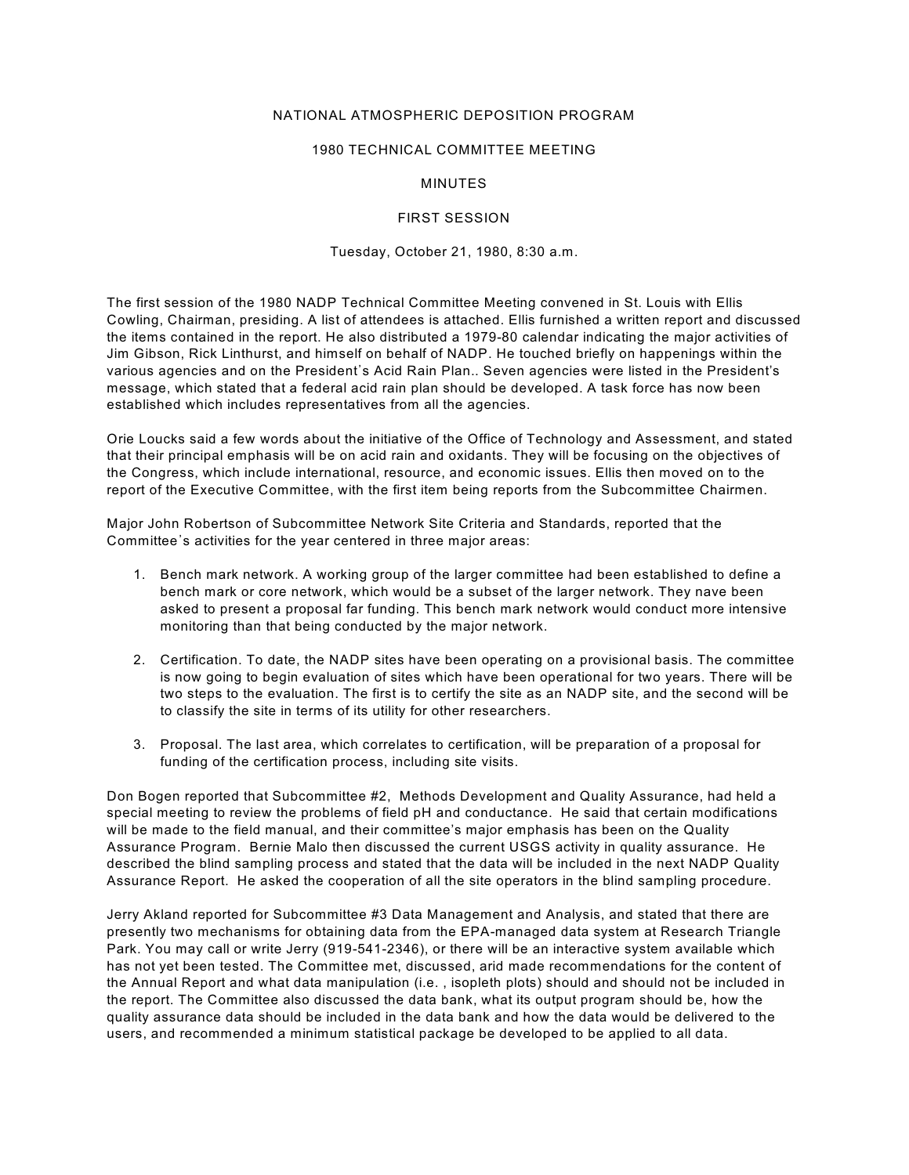## NATIONAL ATMOSPHERIC DEPOSITION PROGRAM

## 1980 TECHNICAL COMMITTEE MEETING

## MINUTES

#### FIRST SESSION

## Tuesday, October 21, 1980, 8:30 a.m.

The first session of the 1980 NADP Technical Committee Meeting convened in St. Louis with Ellis Cowling, Chairman, presiding. A list of attendees is attached. Ellis furnished a written report and discussed the items contained in the report. He also distributed a 1979-80 calendar indicating the major activities of Jim Gibson, Rick Linthurst, and himself on behalf of NADP. He touched briefly on happenings within the various agencies and on the President's Acid Rain Plan.. Seven agencies were listed in the President's message, which stated that a federal acid rain plan should be developed. A task force has now been established which includes representatives from all the agencies.

Orie Loucks said a few words about the initiative of the Office of Technology and Assessment, and stated that their principal emphasis will be on acid rain and oxidants. They will be focusing on the objectives of the Congress, which include international, resource, and economic issues. Ellis then moved on to the report of the Executive Committee, with the first item being reports from the Subcommittee Chairmen.

Major John Robertson of Subcommittee Network Site Criteria and Standards, reported that the Committee's activities for the year centered in three major areas:

- 1. Bench mark network. A working group of the larger committee had been established to define a bench mark or core network, which would be a subset of the larger network. They nave been asked to present a proposal far funding. This bench mark network would conduct more intensive monitoring than that being conducted by the major network.
- 2. Certification. To date, the NADP sites have been operating on a provisional basis. The committee is now going to begin evaluation of sites which have been operational for two years. There will be two steps to the evaluation. The first is to certify the site as an NADP site, and the second will be to classify the site in terms of its utility for other researchers.
- 3. Proposal. The last area, which correlates to certification, will be preparation of a proposal for funding of the certification process, including site visits.

Don Bogen reported that Subcommittee #2, Methods Development and Quality Assurance, had held a special meeting to review the problems of field pH and conductance. He said that certain modifications will be made to the field manual, and their committee's major emphasis has been on the Quality Assurance Program. Bernie Malo then discussed the current USGS activity in quality assurance. He described the blind sampling process and stated that the data will be included in the next NADP Quality Assurance Report. He asked the cooperation of all the site operators in the blind sampling procedure.

Jerry Akland reported for Subcommittee #3 Data Management and Analysis, and stated that there are presently two mechanisms for obtaining data from the EPA-managed data system at Research Triangle Park. You may call or write Jerry (919-541-2346), or there will be an interactive system available which has not yet been tested. The Committee met, discussed, arid made recommendations for the content of the Annual Report and what data manipulation (i.e. , isopleth plots) should and should not be included in the report. The Committee also discussed the data bank, what its output program should be, how the quality assurance data should be included in the data bank and how the data would be delivered to the users, and recommended a minimum statistical package be developed to be applied to all data.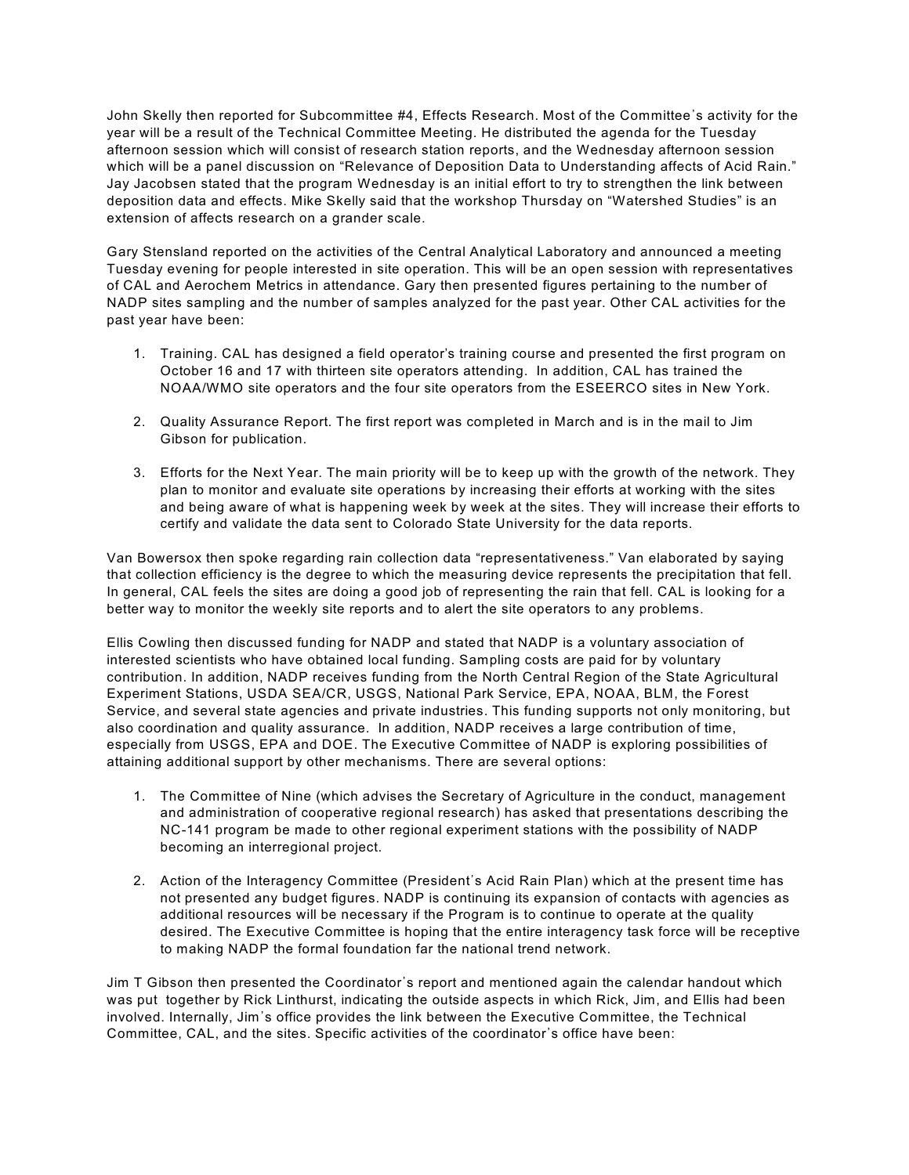John Skelly then reported for Subcommittee #4, Effects Research. Most of the Committee's activity for the year will be a result of the Technical Committee Meeting. He distributed the agenda for the Tuesday afternoon session which will consist of research station reports, and the Wednesday afternoon session which will be a panel discussion on "Relevance of Deposition Data to Understanding affects of Acid Rain." Jay Jacobsen stated that the program Wednesday is an initial effort to try to strengthen the link between deposition data and effects. Mike Skelly said that the workshop Thursday on "Watershed Studies" is an extension of affects research on a grander scale.

Gary Stensland reported on the activities of the Central Analytical Laboratory and announced a meeting Tuesday evening for people interested in site operation. This will be an open session with representatives of CAL and Aerochem Metrics in attendance. Gary then presented figures pertaining to the number of NADP sites sampling and the number of samples analyzed for the past year. Other CAL activities for the past year have been:

- 1. Training. CAL has designed a field operator's training course and presented the first program on October 16 and 17 with thirteen site operators attending. In addition, CAL has trained the NOAA/WMO site operators and the four site operators from the ESEERCO sites in New York.
- 2. Quality Assurance Report. The first report was completed in March and is in the mail to Jim Gibson for publication.
- 3. Efforts for the Next Year. The main priority will be to keep up with the growth of the network. They plan to monitor and evaluate site operations by increasing their efforts at working with the sites and being aware of what is happening week by week at the sites. They will increase their efforts to certify and validate the data sent to Colorado State University for the data reports.

Van Bowersox then spoke regarding rain collection data "representativeness." Van elaborated by saying that collection efficiency is the degree to which the measuring device represents the precipitation that fell. In general, CAL feels the sites are doing a good job of representing the rain that fell. CAL is looking for a better way to monitor the weekly site reports and to alert the site operators to any problems.

Ellis Cowling then discussed funding for NADP and stated that NADP is a voluntary association of interested scientists who have obtained local funding. Sampling costs are paid for by voluntary contribution. In addition, NADP receives funding from the North Central Region of the State Agricultural Experiment Stations, USDA SEA/CR, USGS, National Park Service, EPA, NOAA, BLM, the Forest Service, and several state agencies and private industries. This funding supports not only monitoring, but also coordination and quality assurance. In addition, NADP receives a large contribution of time, especially from USGS, EPA and DOE. The Executive Committee of NADP is exploring possibilities of attaining additional support by other mechanisms. There are several options:

- 1. The Committee of Nine (which advises the Secretary of Agriculture in the conduct, management and administration of cooperative regional research) has asked that presentations describing the NC-141 program be made to other regional experiment stations with the possibility of NADP becoming an interregional project.
- 2. Action of the Interagency Committee (President's Acid Rain Plan) which at the present time has not presented any budget figures. NADP is continuing its expansion of contacts with agencies as additional resources will be necessary if the Program is to continue to operate at the quality desired. The Executive Committee is hoping that the entire interagency task force will be receptive to making NADP the formal foundation far the national trend network.

Jim T Gibson then presented the Coordinator's report and mentioned again the calendar handout which was put together by Rick Linthurst, indicating the outside aspects in which Rick, Jim, and Ellis had been involved. Internally, Jim's office provides the link between the Executive Committee, the Technical Committee, CAL, and the sites. Specific activities of the coordinator's office have been: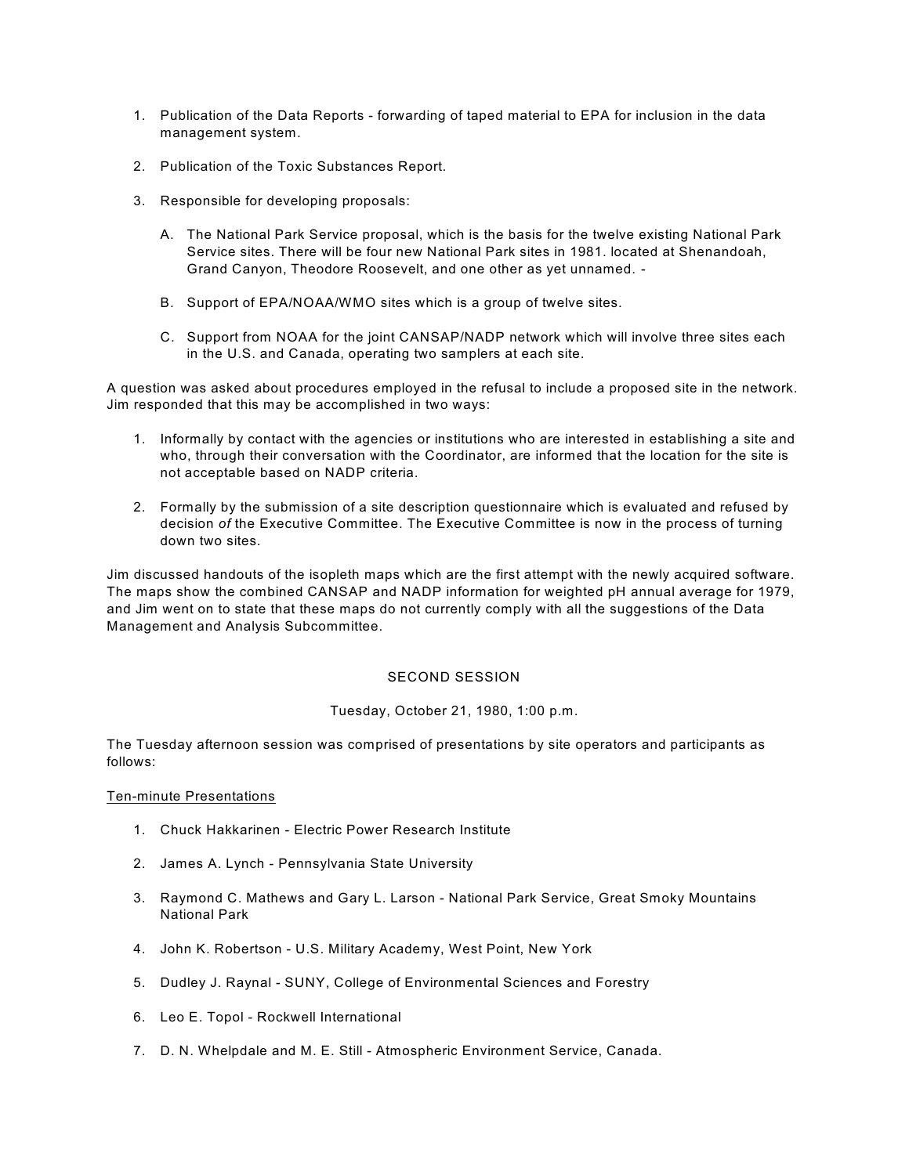- 1. Publication of the Data Reports forwarding of taped material to EPA for inclusion in the data management system.
- 2. Publication of the Toxic Substances Report.
- 3. Responsible for developing proposals:
	- A. The National Park Service proposal, which is the basis for the twelve existing National Park Service sites. There will be four new National Park sites in 1981. located at Shenandoah, Grand Canyon, Theodore Roosevelt, and one other as yet unnamed. -
	- B. Support of EPA/NOAA/WMO sites which is a group of twelve sites.
	- C. Support from NOAA for the joint CANSAP/NADP network which will involve three sites each in the U.S. and Canada, operating two samplers at each site.

A question was asked about procedures employed in the refusal to include a proposed site in the network. Jim responded that this may be accomplished in two ways:

- 1. Informally by contact with the agencies or institutions who are interested in establishing a site and who, through their conversation with the Coordinator, are informed that the location for the site is not acceptable based on NADP criteria.
- 2. Formally by the submission of a site description questionnaire which is evaluated and refused by decision *of* the Executive Committee. The Executive Committee is now in the process of turning down two sites.

Jim discussed handouts of the isopleth maps which are the first attempt with the newly acquired software. The maps show the combined CANSAP and NADP information for weighted pH annual average for 1979, and Jim went on to state that these maps do not currently comply with all the suggestions of the Data Management and Analysis Subcommittee.

## SECOND SESSION

Tuesday, October 21, 1980, 1:00 p.m.

The Tuesday afternoon session was comprised of presentations by site operators and participants as follows:

## Ten-minute Presentations

- 1. Chuck Hakkarinen Electric Power Research Institute
- 2. James A. Lynch Pennsylvania State University
- 3. Raymond C. Mathews and Gary L. Larson National Park Service, Great Smoky Mountains National Park
- 4. John K. Robertson U.S. Military Academy, West Point, New York
- 5. Dudley J. Raynal SUNY, College of Environmental Sciences and Forestry
- 6. Leo E. Topol Rockwell International
- 7. D. N. Whelpdale and M. E. Still Atmospheric Environment Service, Canada.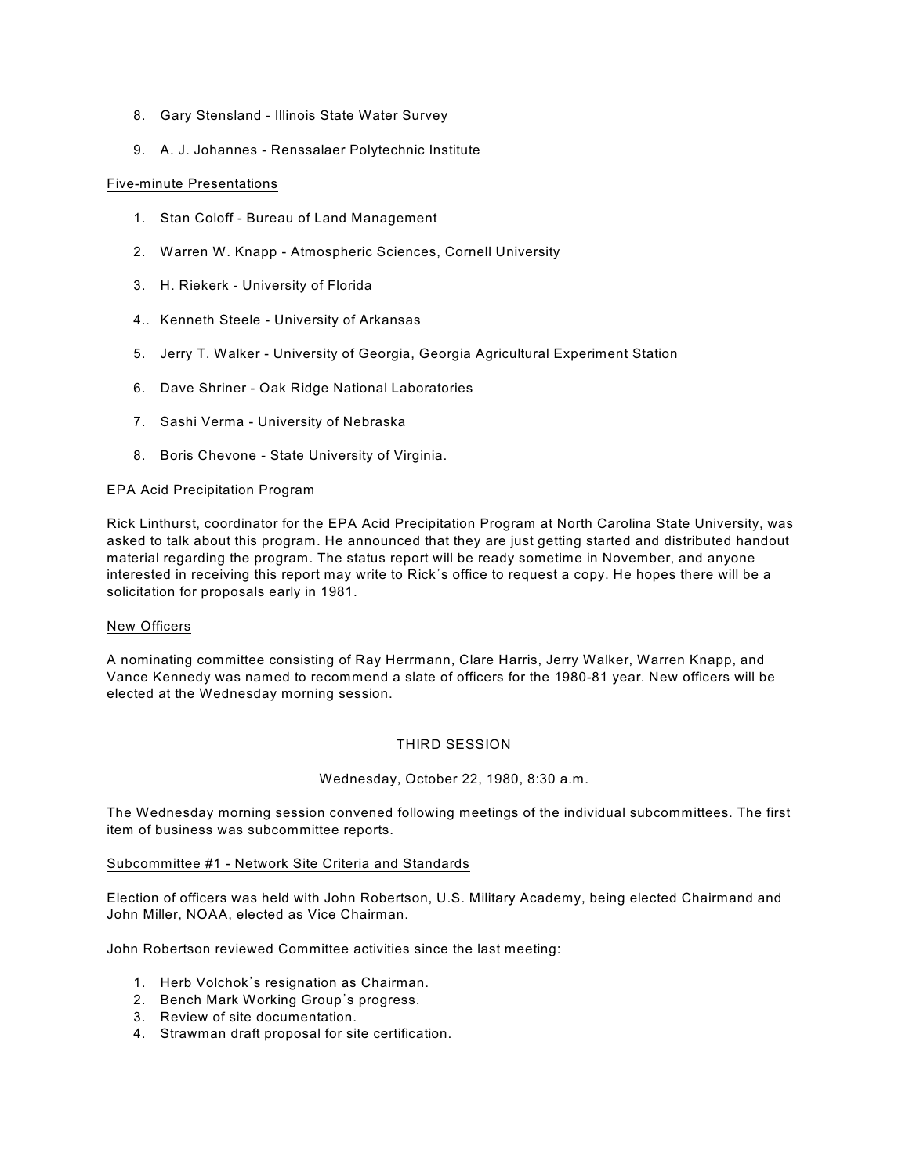- 8. Gary Stensland Illinois State Water Survey
- 9. A. J. Johannes Renssalaer Polytechnic Institute

## Five-minute Presentations

- 1. Stan Coloff Bureau of Land Management
- 2. Warren W. Knapp Atmospheric Sciences, Cornell University
- 3. H. Riekerk University of Florida
- 4.. Kenneth Steele University of Arkansas
- 5. Jerry T. Walker University of Georgia, Georgia Agricultural Experiment Station
- 6. Dave Shriner Oak Ridge National Laboratories
- 7. Sashi Verma University of Nebraska
- 8. Boris Chevone State University of Virginia.

## EPA Acid Precipitation Program

Rick Linthurst, coordinator for the EPA Acid Precipitation Program at North Carolina State University, was asked to talk about this program. He announced that they are just getting started and distributed handout material regarding the program. The status report will be ready sometime in November, and anyone interested in receiving this report may write to Rick's office to request a copy. He hopes there will be a solicitation for proposals early in 1981.

## New Officers

A nominating committee consisting of Ray Herrmann, Clare Harris, Jerry Walker, Warren Knapp, and Vance Kennedy was named to recommend a slate of officers for the 1980-81 year. New officers will be elected at the Wednesday morning session.

## THIRD SESSION

Wednesday, October 22, 1980, 8:30 a.m.

The Wednesday morning session convened following meetings of the individual subcommittees. The first item of business was subcommittee reports.

## Subcommittee #1 - Network Site Criteria and Standards

Election of officers was held with John Robertson, U.S. Military Academy, being elected Chairmand and John Miller, NOAA, elected as Vice Chairman.

John Robertson reviewed Committee activities since the last meeting:

- 1. Herb Volchok's resignation as Chairman.
- 2. Bench Mark Working Group's progress.
- 3. Review of site documentation.
- 4. Strawman draft proposal for site certification.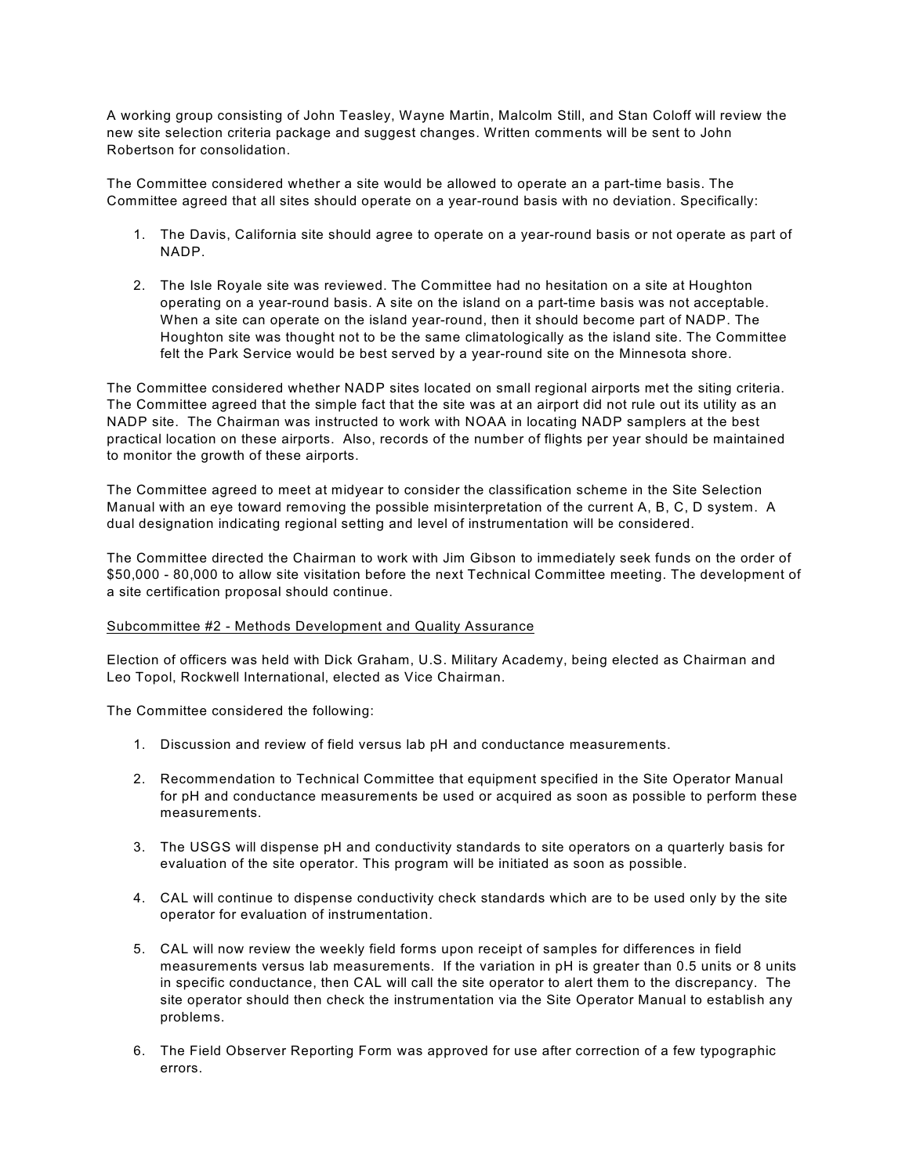A working group consisting of John Teasley, Wayne Martin, Malcolm Still, and Stan Coloff will review the new site selection criteria package and suggest changes. Written comments will be sent to John Robertson for consolidation.

The Committee considered whether a site would be allowed to operate an a part-time basis. The Committee agreed that all sites should operate on a year-round basis with no deviation. Specifically:

- 1. The Davis, California site should agree to operate on a year-round basis or not operate as part of NADP.
- 2. The Isle Royale site was reviewed. The Committee had no hesitation on a site at Houghton operating on a year-round basis. A site on the island on a part-time basis was not acceptable. When a site can operate on the island year-round, then it should become part of NADP. The Houghton site was thought not to be the same climatologically as the island site. The Committee felt the Park Service would be best served by a year-round site on the Minnesota shore.

The Committee considered whether NADP sites located on small regional airports met the siting criteria. The Committee agreed that the simple fact that the site was at an airport did not rule out its utility as an NADP site. The Chairman was instructed to work with NOAA in locating NADP samplers at the best practical location on these airports. Also, records of the number of flights per year should be maintained to monitor the growth of these airports.

The Committee agreed to meet at midyear to consider the classification scheme in the Site Selection Manual with an eye toward removing the possible misinterpretation of the current A, B, C, D system. A dual designation indicating regional setting and level of instrumentation will be considered.

The Committee directed the Chairman to work with Jim Gibson to immediately seek funds on the order of \$50,000 - 80,000 to allow site visitation before the next Technical Committee meeting. The development of a site certification proposal should continue.

## Subcommittee #2 - Methods Development and Quality Assurance

Election of officers was held with Dick Graham, U.S. Military Academy, being elected as Chairman and Leo Topol, Rockwell International, elected as Vice Chairman.

The Committee considered the following:

- 1. Discussion and review of field versus lab pH and conductance measurements.
- 2. Recommendation to Technical Committee that equipment specified in the Site Operator Manual for pH and conductance measurements be used or acquired as soon as possible to perform these measurements.
- 3. The USGS will dispense pH and conductivity standards to site operators on a quarterly basis for evaluation of the site operator. This program will be initiated as soon as possible.
- 4. CAL will continue to dispense conductivity check standards which are to be used only by the site operator for evaluation of instrumentation.
- 5. CAL will now review the weekly field forms upon receipt of samples for differences in field measurements versus lab measurements. If the variation in pH is greater than 0.5 units or 8 units in specific conductance, then CAL will call the site operator to alert them to the discrepancy. The site operator should then check the instrumentation via the Site Operator Manual to establish any problems.
- 6. The Field Observer Reporting Form was approved for use after correction of a few typographic errors.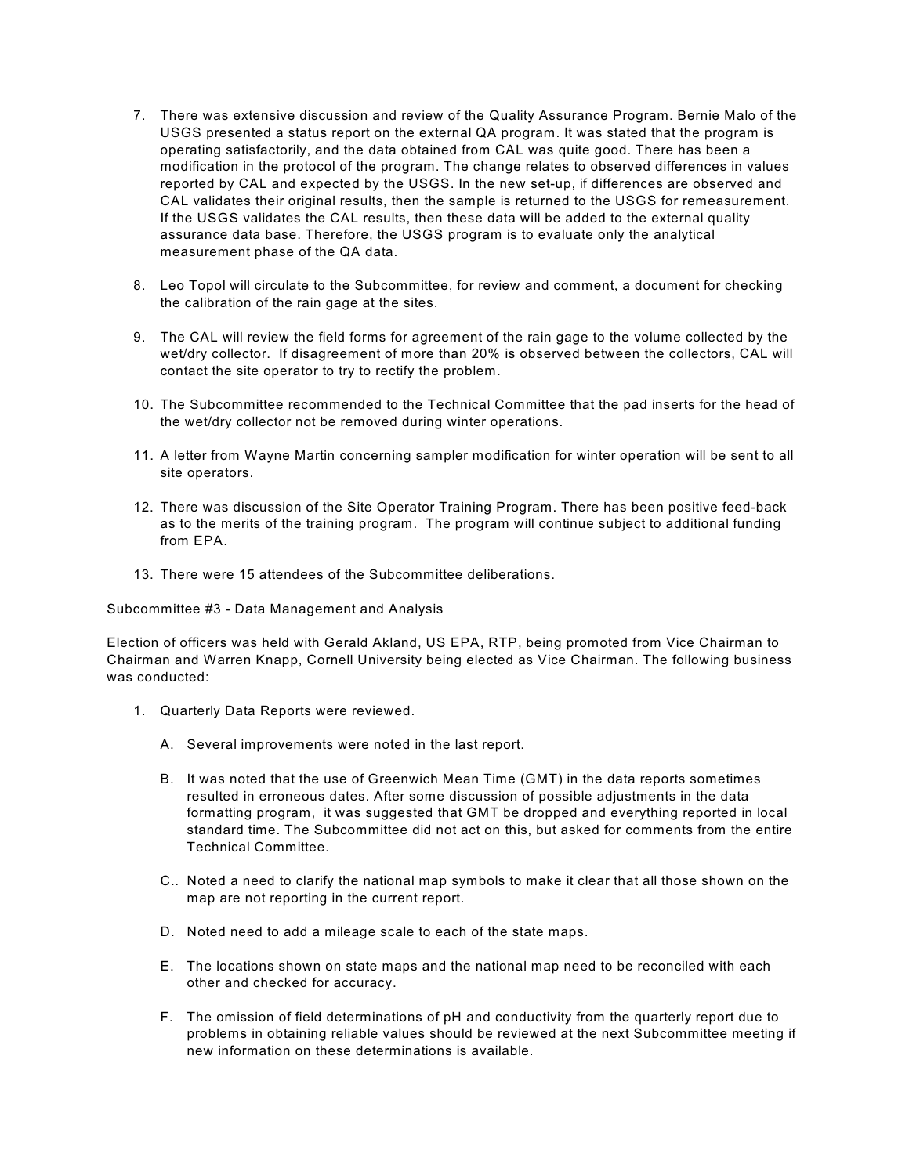- 7. There was extensive discussion and review of the Quality Assurance Program. Bernie Malo of the USGS presented a status report on the external QA program. It was stated that the program is operating satisfactorily, and the data obtained from CAL was quite good. There has been a modification in the protocol of the program. The change relates to observed differences in values reported by CAL and expected by the USGS. In the new set-up, if differences are observed and CAL validates their original results, then the sample is returned to the USGS for remeasurement. If the USGS validates the CAL results, then these data will be added to the external quality assurance data base. Therefore, the USGS program is to evaluate only the analytical measurement phase of the QA data.
- 8. Leo Topol will circulate to the Subcommittee, for review and comment, a document for checking the calibration of the rain gage at the sites.
- 9. The CAL will review the field forms for agreement of the rain gage to the volume collected by the wet/dry collector. If disagreement of more than 20% is observed between the collectors, CAL will contact the site operator to try to rectify the problem.
- 10. The Subcommittee recommended to the Technical Committee that the pad inserts for the head of the wet/dry collector not be removed during winter operations.
- 11. A letter from Wayne Martin concerning sampler modification for winter operation will be sent to all site operators.
- 12. There was discussion of the Site Operator Training Program. There has been positive feed-back as to the merits of the training program. The program will continue subject to additional funding from EPA.
- 13. There were 15 attendees of the Subcommittee deliberations.

#### Subcommittee #3 - Data Management and Analysis

Election of officers was held with Gerald Akland, US EPA, RTP, being promoted from Vice Chairman to Chairman and Warren Knapp, Cornell University being elected as Vice Chairman. The following business was conducted:

- 1. Quarterly Data Reports were reviewed.
	- A. Several improvements were noted in the last report.
	- B. It was noted that the use of Greenwich Mean Time (GMT) in the data reports sometimes resulted in erroneous dates. After some discussion of possible adjustments in the data formatting program, it was suggested that GMT be dropped and everything reported in local standard time. The Subcommittee did not act on this, but asked for comments from the entire Technical Committee.
	- C.. Noted a need to clarify the national map symbols to make it clear that all those shown on the map are not reporting in the current report.
	- D. Noted need to add a mileage scale to each of the state maps.
	- E. The locations shown on state maps and the national map need to be reconciled with each other and checked for accuracy.
	- F. The omission of field determinations of pH and conductivity from the quarterly report due to problems in obtaining reliable values should be reviewed at the next Subcommittee meeting if new information on these determinations is available.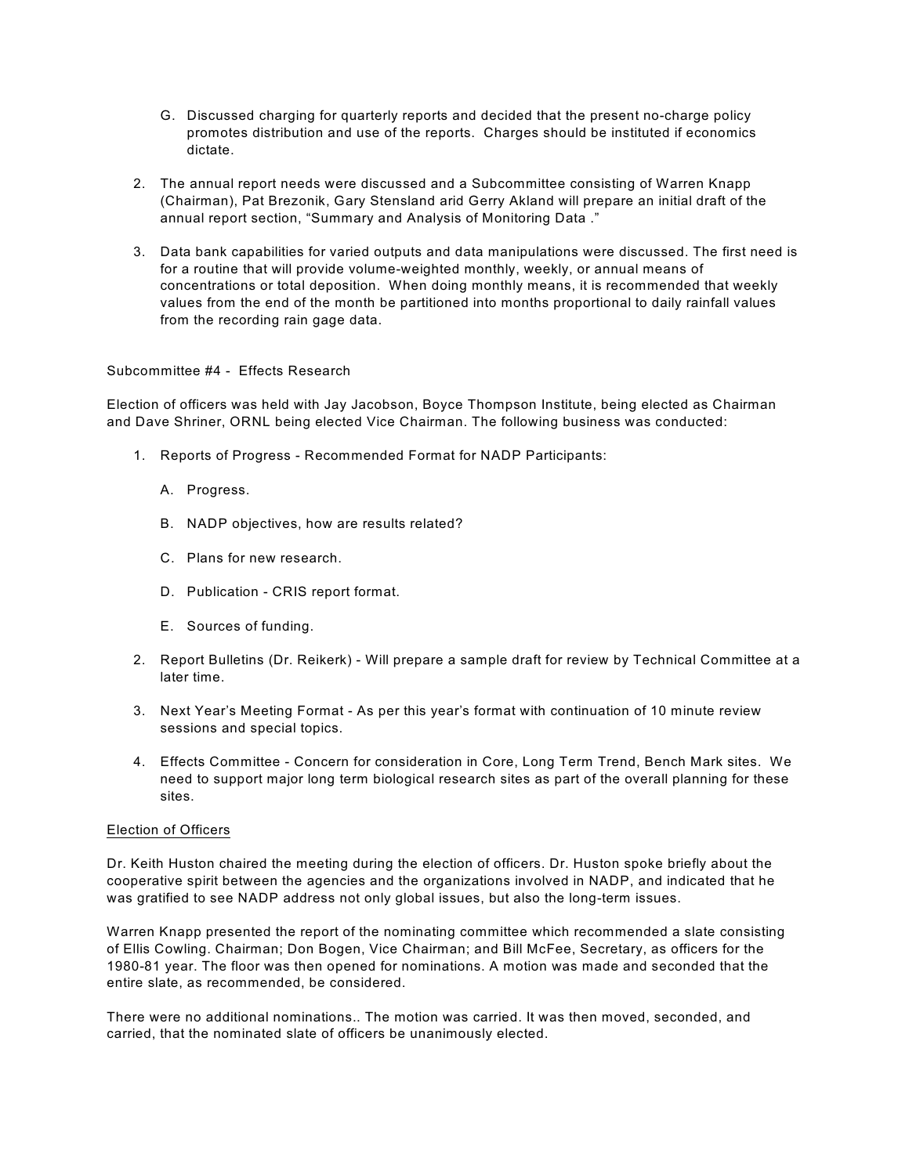- G. Discussed charging for quarterly reports and decided that the present no-charge policy promotes distribution and use of the reports. Charges should be instituted if economics dictate.
- 2. The annual report needs were discussed and a Subcommittee consisting of Warren Knapp (Chairman), Pat Brezonik, Gary Stensland arid Gerry Akland will prepare an initial draft of the annual report section, "Summary and Analysis of Monitoring Data ."
- 3. Data bank capabilities for varied outputs and data manipulations were discussed. The first need is for a routine that will provide volume-weighted monthly, weekly, or annual means of concentrations or total deposition. When doing monthly means, it is recommended that weekly values from the end of the month be partitioned into months proportional to daily rainfall values from the recording rain gage data.

## Subcommittee #4 - Effects Research

Election of officers was held with Jay Jacobson, Boyce Thompson Institute, being elected as Chairman and Dave Shriner, ORNL being elected Vice Chairman. The following business was conducted:

- 1. Reports of Progress Recommended Format for NADP Participants:
	- A. Progress.
	- B. NADP objectives, how are results related?
	- C. Plans for new research.
	- D. Publication CRIS report format.
	- E. Sources of funding.
- 2. Report Bulletins (Dr. Reikerk) Will prepare a sample draft for review by Technical Committee at a later time.
- 3. Next Year's Meeting Format As per this year's format with continuation of 10 minute review sessions and special topics.
- 4. Effects Committee Concern for consideration in Core, Long Term Trend, Bench Mark sites. We need to support major long term biological research sites as part of the overall planning for these sites.

## Election of Officers

Dr. Keith Huston chaired the meeting during the election of officers. Dr. Huston spoke briefly about the cooperative spirit between the agencies and the organizations involved in NADP, and indicated that he was gratified to see NADP address not only global issues, but also the long-term issues.

Warren Knapp presented the report of the nominating committee which recommended a slate consisting of Ellis Cowling. Chairman; Don Bogen, Vice Chairman; and Bill McFee, Secretary, as officers for the 1980-81 year. The floor was then opened for nominations. A motion was made and seconded that the entire slate, as recommended, be considered.

There were no additional nominations.. The motion was carried. It was then moved, seconded, and carried, that the nominated slate of officers be unanimously elected.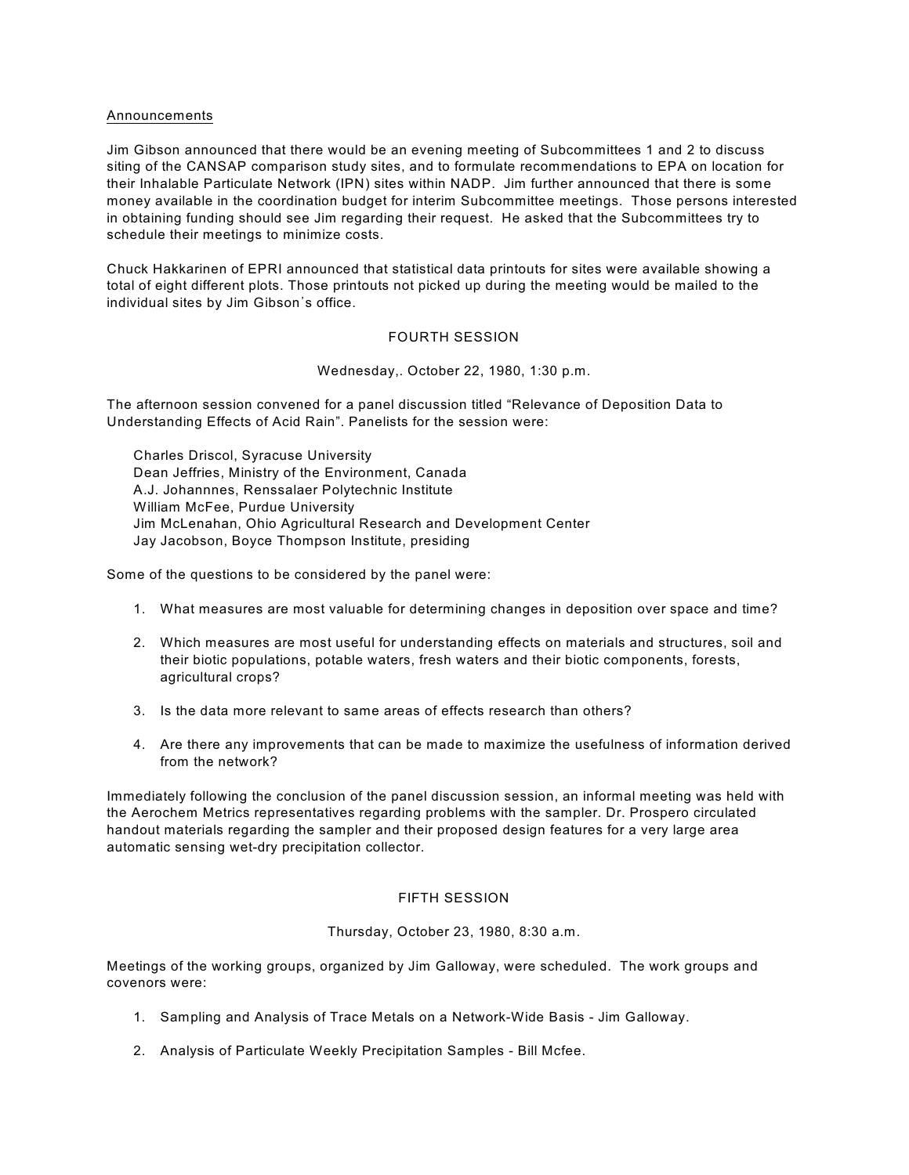#### Announcements

Jim Gibson announced that there would be an evening meeting of Subcommittees 1 and 2 to discuss siting of the CANSAP comparison study sites, and to formulate recommendations to EPA on location for their Inhalable Particulate Network (IPN) sites within NADP. Jim further announced that there is some money available in the coordination budget for interim Subcommittee meetings. Those persons interested in obtaining funding should see Jim regarding their request. He asked that the Subcommittees try to schedule their meetings to minimize costs.

Chuck Hakkarinen of EPRI announced that statistical data printouts for sites were available showing a total of eight different plots. Those printouts not picked up during the meeting would be mailed to the individual sites by Jim Gibson's office.

## FOURTH SESSION

Wednesday,. October 22, 1980, 1:30 p.m.

The afternoon session convened for a panel discussion titled "Relevance of Deposition Data to Understanding Effects of Acid Rain". Panelists for the session were:

Charles Driscol, Syracuse University Dean Jeffries, Ministry of the Environment, Canada A.J. Johannnes, Renssalaer Polytechnic Institute William McFee, Purdue University Jim McLenahan, Ohio Agricultural Research and Development Center Jay Jacobson, Boyce Thompson Institute, presiding

Some of the questions to be considered by the panel were:

- 1. What measures are most valuable for determining changes in deposition over space and time?
- 2. Which measures are most useful for understanding effects on materials and structures, soil and their biotic populations, potable waters, fresh waters and their biotic components, forests, agricultural crops?
- 3. Is the data more relevant to same areas of effects research than others?
- 4. Are there any improvements that can be made to maximize the usefulness of information derived from the network?

Immediately following the conclusion of the panel discussion session, an informal meeting was held with the Aerochem Metrics representatives regarding problems with the sampler. Dr. Prospero circulated handout materials regarding the sampler and their proposed design features for a very large area automatic sensing wet-dry precipitation collector.

## FIFTH SESSION

#### Thursday, October 23, 1980, 8:30 a.m.

Meetings of the working groups, organized by Jim Galloway, were scheduled. The work groups and covenors were:

- 1. Sampling and Analysis of Trace Metals on a Network-Wide Basis Jim Galloway.
- 2. Analysis of Particulate Weekly Precipitation Samples Bill Mcfee.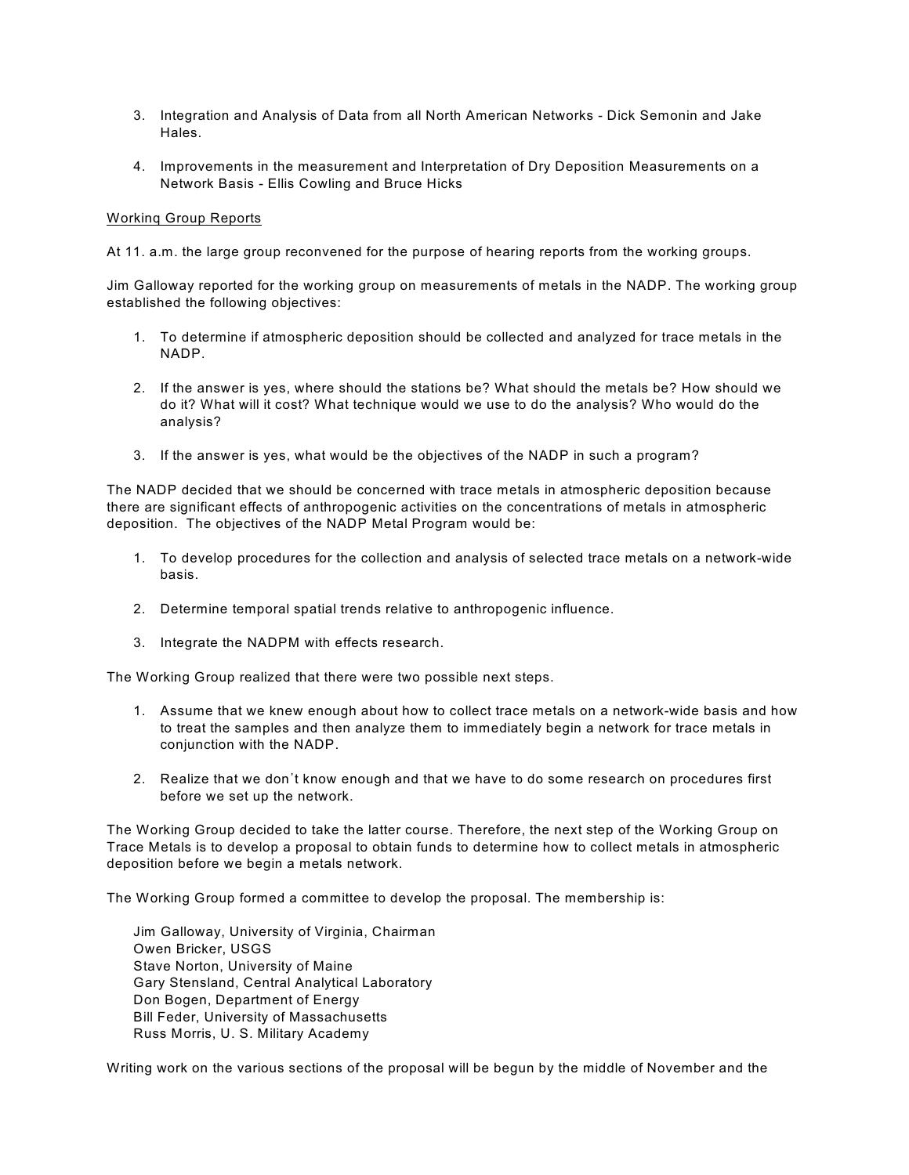- 3. Integration and Analysis of Data from all North American Networks Dick Semonin and Jake Hales.
- 4. Improvements in the measurement and Interpretation of Dry Deposition Measurements on a Network Basis - Ellis Cowling and Bruce Hicks

## Workinq Group Reports

At 11. a.m. the large group reconvened for the purpose of hearing reports from the working groups.

Jim Galloway reported for the working group on measurements of metals in the NADP. The working group established the following objectives:

- 1. To determine if atmospheric deposition should be collected and analyzed for trace metals in the NADP.
- 2. If the answer is yes, where should the stations be? What should the metals be? How should we do it? What will it cost? What technique would we use to do the analysis? Who would do the analysis?
- 3. If the answer is yes, what would be the objectives of the NADP in such a program?

The NADP decided that we should be concerned with trace metals in atmospheric deposition because there are significant effects of anthropogenic activities on the concentrations of metals in atmospheric deposition. The objectives of the NADP Metal Program would be:

- 1. To develop procedures for the collection and analysis of selected trace metals on a network-wide basis.
- 2. Determine temporal spatial trends relative to anthropogenic influence.
- 3. Integrate the NADPM with effects research.

The Working Group realized that there were two possible next steps.

- 1. Assume that we knew enough about how to collect trace metals on a network-wide basis and how to treat the samples and then analyze them to immediately begin a network for trace metals in conjunction with the NADP.
- 2. Realize that we don't know enough and that we have to do some research on procedures first before we set up the network.

The Working Group decided to take the latter course. Therefore, the next step of the Working Group on Trace Metals is to develop a proposal to obtain funds to determine how to collect metals in atmospheric deposition before we begin a metals network.

The Working Group formed a committee to develop the proposal. The membership is:

Jim Galloway, University of Virginia, Chairman Owen Bricker, USGS Stave Norton, University of Maine Gary Stensland, Central Analytical Laboratory Don Bogen, Department of Energy Bill Feder, University of Massachusetts Russ Morris, U. S. Military Academy

Writing work on the various sections of the proposal will be begun by the middle of November and the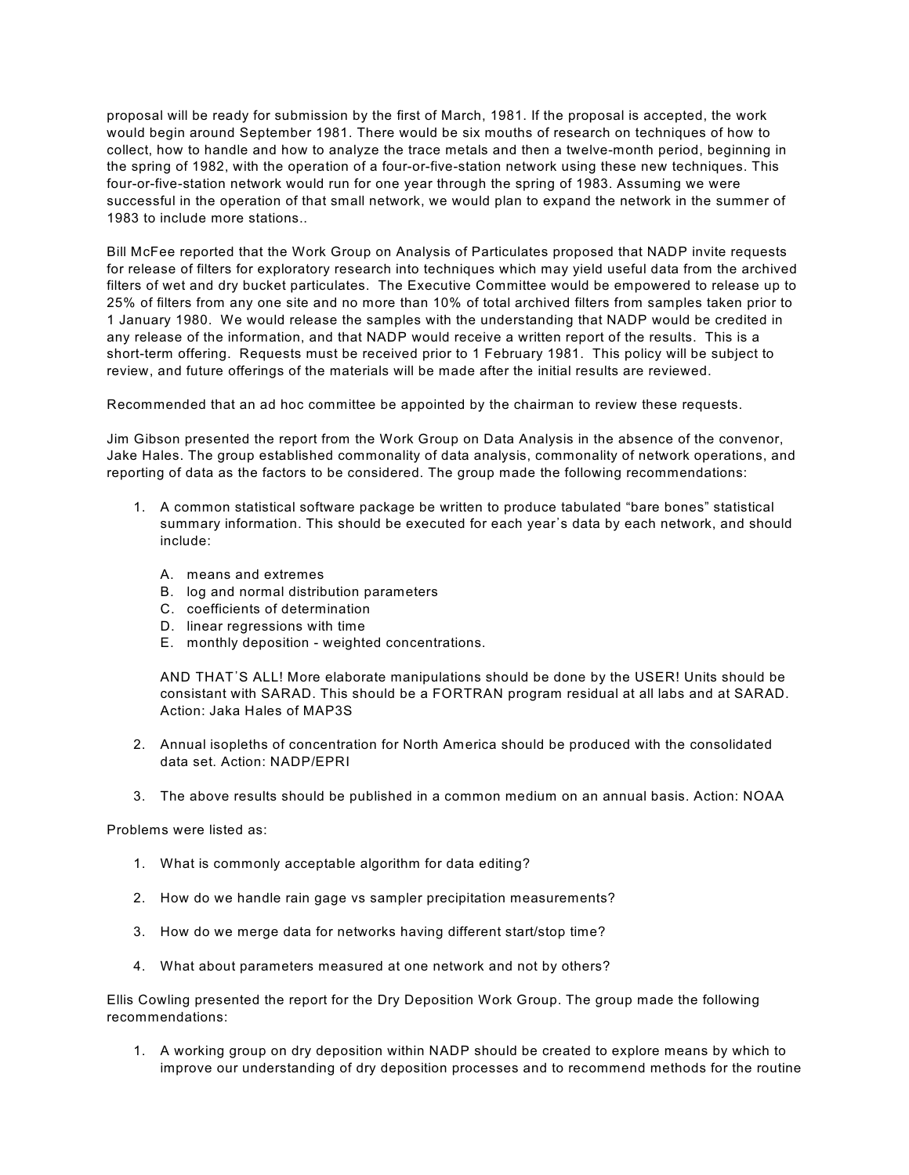proposal will be ready for submission by the first of March, 1981. If the proposal is accepted, the work would begin around September 1981. There would be six mouths of research on techniques of how to collect, how to handle and how to analyze the trace metals and then a twelve-month period, beginning in the spring of 1982, with the operation of a four-or-five-station network using these new techniques. This four-or-five-station network would run for one year through the spring of 1983. Assuming we were successful in the operation of that small network, we would plan to expand the network in the summer of 1983 to include more stations..

Bill McFee reported that the Work Group on Analysis of Particulates proposed that NADP invite requests for release of filters for exploratory research into techniques which may yield useful data from the archived filters of wet and dry bucket particulates. The Executive Committee would be empowered to release up to 25% of filters from any one site and no more than 10% of total archived filters from samples taken prior to 1 January 1980. We would release the samples with the understanding that NADP would be credited in any release of the information, and that NADP would receive a written report of the results. This is a short-term offering. Requests must be received prior to 1 February 1981. This policy will be subject to review, and future offerings of the materials will be made after the initial results are reviewed.

Recommended that an ad hoc committee be appointed by the chairman to review these requests.

Jim Gibson presented the report from the Work Group on Data Analysis in the absence of the convenor, Jake Hales. The group established commonality of data analysis, commonality of network operations, and reporting of data as the factors to be considered. The group made the following recommendations:

- 1. A common statistical software package be written to produce tabulated "bare bones" statistical summary information. This should be executed for each year's data by each network, and should include:
	- A. means and extremes
	- B. log and normal distribution parameters
	- C. coefficients of determination
	- D. linear regressions with time
	- E. monthly deposition weighted concentrations.

AND THAT\*S ALL! More elaborate manipulations should be done by the USER! Units should be consistant with SARAD. This should be a FORTRAN program residual at all labs and at SARAD. Action: Jaka Hales of MAP3S

- 2. Annual isopleths of concentration for North America should be produced with the consolidated data set. Action: NADP/EPRI
- 3. The above results should be published in a common medium on an annual basis. Action: NOAA

Problems were listed as:

- 1. What is commonly acceptable algorithm for data editing?
- 2. How do we handle rain gage vs sampler precipitation measurements?
- 3. How do we merge data for networks having different start/stop time?
- 4. What about parameters measured at one network and not by others?

Ellis Cowling presented the report for the Dry Deposition Work Group. The group made the following recommendations:

1. A working group on dry deposition within NADP should be created to explore means by which to improve our understanding of dry deposition processes and to recommend methods for the routine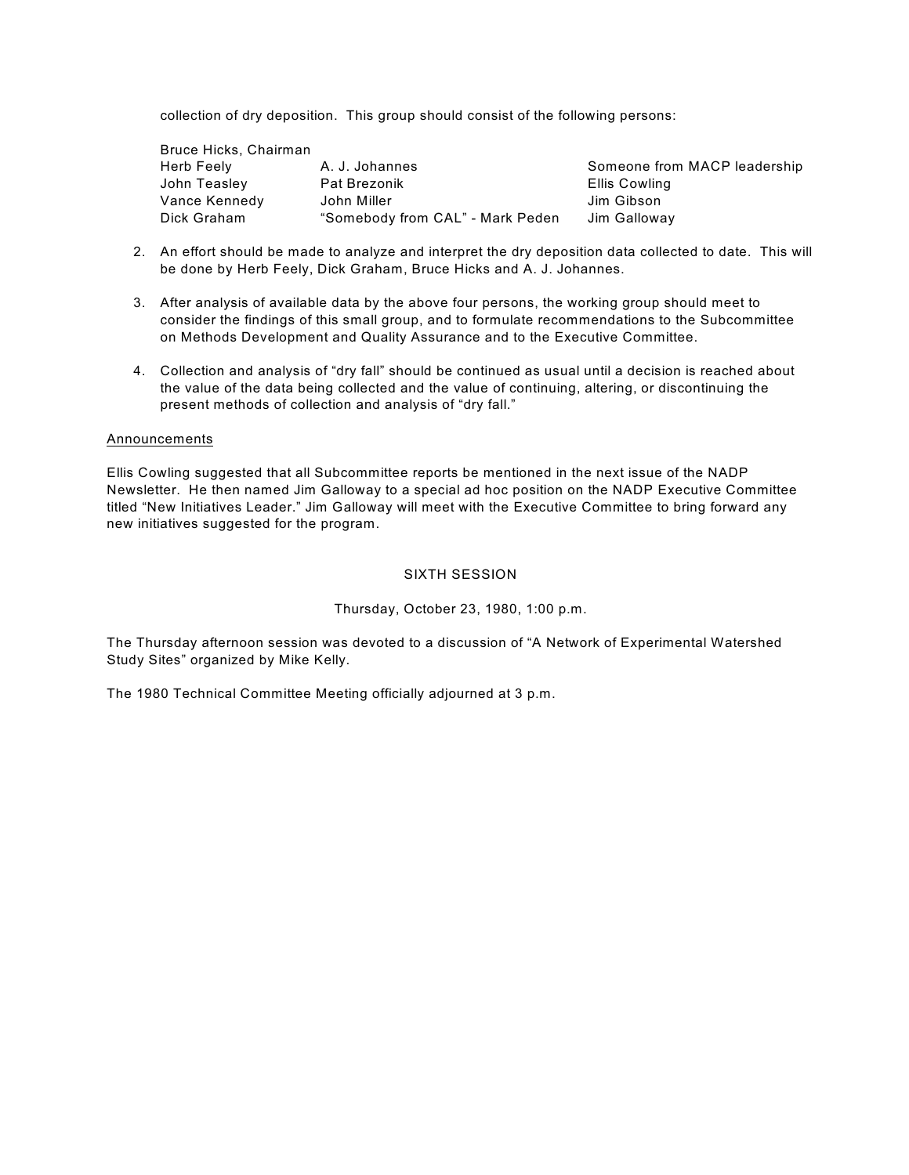collection of dry deposition. This group should consist of the following persons:

| Bruce Hicks, Chairman |                                  |                              |
|-----------------------|----------------------------------|------------------------------|
| Herb Feely            | A. J. Johannes                   | Someone from MACP leadership |
| John Teasley          | <b>Pat Brezonik</b>              | Ellis Cowling                |
| Vance Kennedy         | John Miller                      | Jim Gibson                   |
| Dick Graham           | "Somebody from CAL" - Mark Peden | Jim Galloway                 |

- 2. An effort should be made to analyze and interpret the dry deposition data collected to date. This will be done by Herb Feely, Dick Graham, Bruce Hicks and A. J. Johannes.
- 3. After analysis of available data by the above four persons, the working group should meet to consider the findings of this small group, and to formulate recommendations to the Subcommittee on Methods Development and Quality Assurance and to the Executive Committee.
- 4. Collection and analysis of "dry fall" should be continued as usual until a decision is reached about the value of the data being collected and the value of continuing, altering, or discontinuing the present methods of collection and analysis of "dry fall."

## **Announcements**

Ellis Cowling suggested that all Subcommittee reports be mentioned in the next issue of the NADP Newsletter. He then named Jim Galloway to a special ad hoc position on the NADP Executive Committee titled "New Initiatives Leader." Jim Galloway will meet with the Executive Committee to bring forward any new initiatives suggested for the program.

## SIXTH SESSION

## Thursday, October 23, 1980, 1:00 p.m.

The Thursday afternoon session was devoted to a discussion of "A Network of Experimental Watershed Study Sites" organized by Mike Kelly.

The 1980 Technical Committee Meeting officially adjourned at 3 p.m.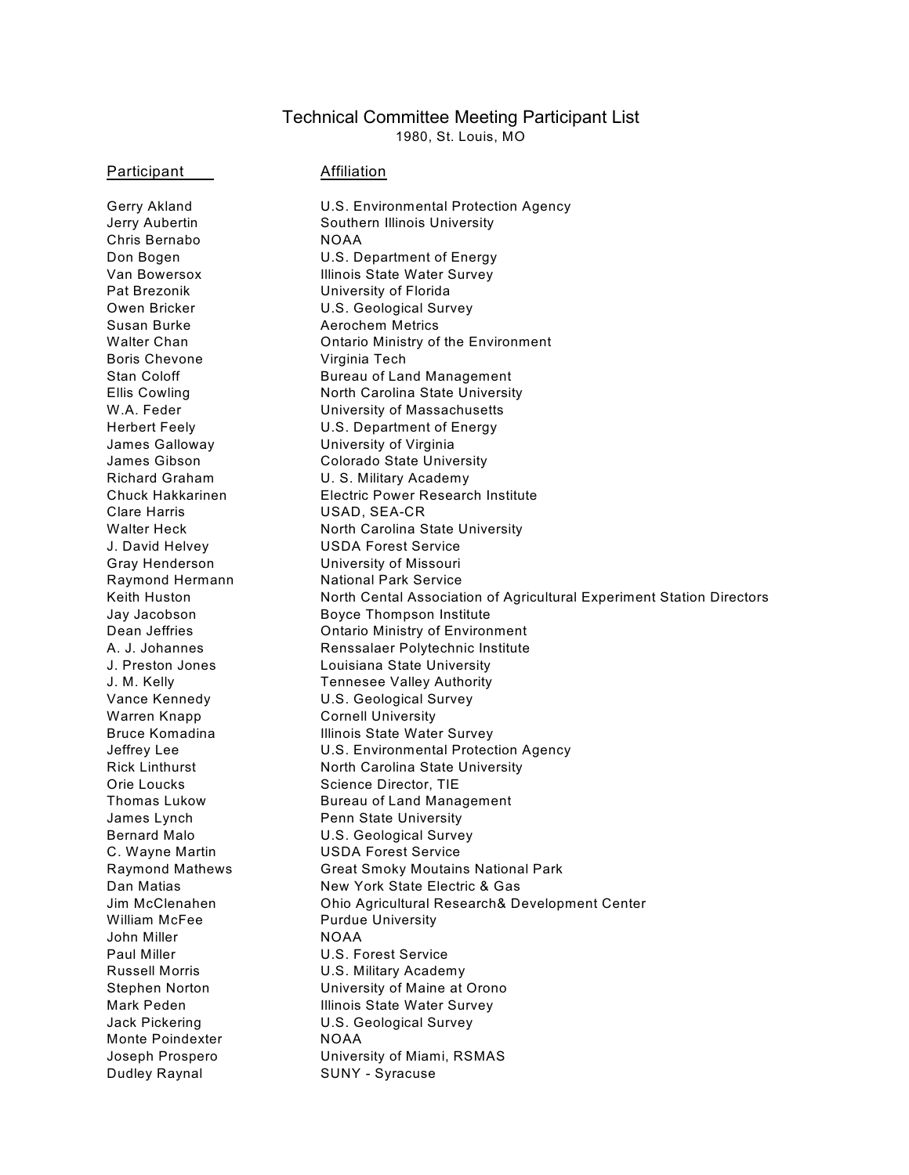# Technical Committee Meeting Participant List

1980, St. Louis, MO

Participant Affiliation

Chris Bernabo NOAA Pat Brezonik **University of Florida** Susan Burke **Aerochem Metrics** Boris Chevone Virginia Tech James Galloway University of Virginia Clare Harris USAD, SEA-CR J. David Helvey USDA Forest Service Gray Henderson University of Missouri Raymond Hermann National Park Service Warren Knapp Cornell University Orie Loucks Science Director, TIE James Lynch **Penn State University** C. Wayne Martin USDA Forest Service William McFee **Purdue University** John Miller NOAA Paul Miller **National Community** U.S. Forest Service Russell Morris U.S. Military Academy Monte Poindexter NOAA Dudley Raynal SUNY - Syracuse

Gerry Akland **U.S. Environmental Protection Agency** Jerry Aubertin Southern Illinois University Don Bogen U.S. Department of Energy Van Bowersox Illinois State Water Survey Owen Bricker **U.S. Geological Survey** Walter Chan **Chan** Ontario Ministry of the Environment Stan Coloff **Bureau of Land Management** Ellis Cowling North Carolina State University W.A. Feder **University of Massachusetts** Herbert Feely U.S. Department of Energy James Gibson Colorado State University Richard Graham U.S. Military Academy Chuck Hakkarinen Electric Power Research Institute Walter Heck North Carolina State University Keith Huston **North Cental Association of Agricultural Experiment Station Directors** Jay Jacobson Boyce Thompson Institute Dean Jeffries **Contage Contario Ministry of Environment** A. J. Johannes Renssalaer Polytechnic Institute J. Preston Jones Louisiana State University J. M. Kelly Tennesee Valley Authority Vance Kennedy U.S. Geological Survey Bruce Komadina **Illinois State Water Survey** Jeffrey Lee **U.S. Environmental Protection Agency** Rick Linthurst North Carolina State University Thomas Lukow Bureau of Land Management Bernard Malo U.S. Geological Survey Raymond Mathews Great Smoky Moutains National Park Dan Matias New York State Electric & Gas Jim McClenahen Ohio Agricultural Research& Development Center Stephen Norton University of Maine at Orono Mark Peden **Illinois State Water Survey** Jack Pickering U.S. Geological Survey Joseph Prospero University of Miami, RSMAS